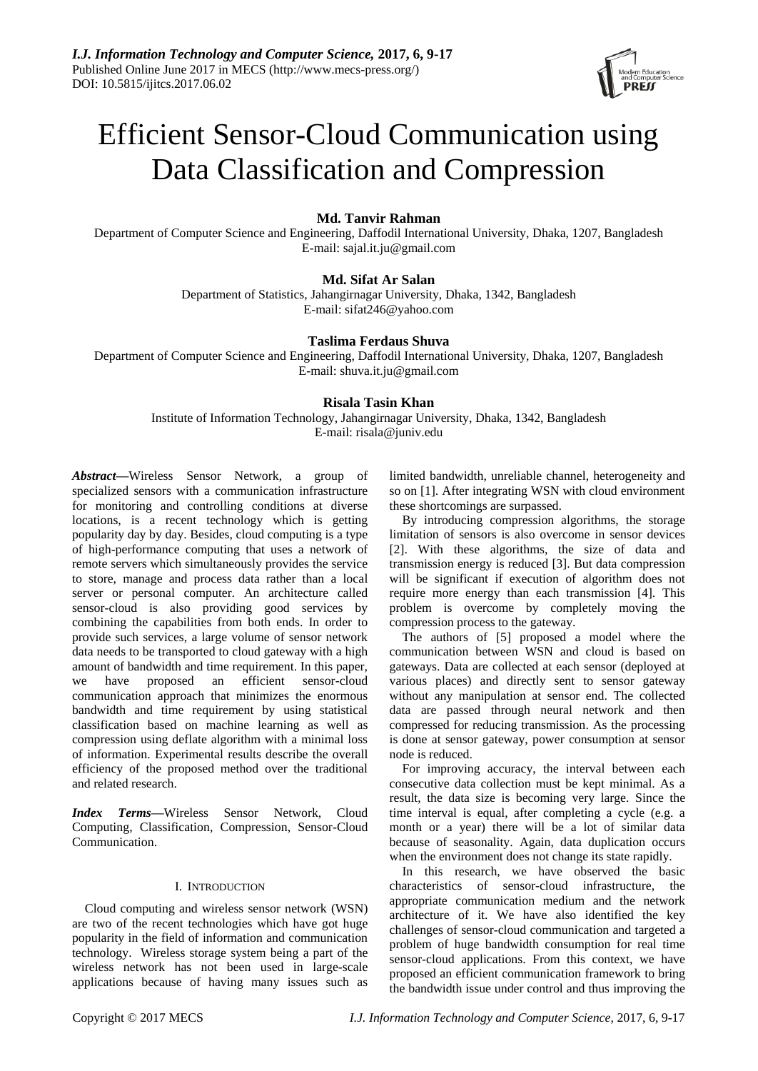

# Efficient Sensor-Cloud Communication using Data Classification and Compression

# **Md. Tanvir Rahman**

Department of Computer Science and Engineering, Daffodil International University, Dhaka, 1207, Bangladesh E-mail: sajal.it.ju@gmail.com

# **Md. Sifat Ar Salan**

Department of Statistics, Jahangirnagar University, Dhaka, 1342, Bangladesh E-mail: sifat246@yahoo.com

# **Taslima Ferdaus Shuva**

Department of Computer Science and Engineering, Daffodil International University, Dhaka, 1207, Bangladesh E-mail: shuva.it.ju@gmail.com

# **Risala Tasin Khan**

Institute of Information Technology, Jahangirnagar University, Dhaka, 1342, Bangladesh E-mail: risala@juniv.edu

*Abstract***—**Wireless Sensor Network, a group of specialized sensors with a communication infrastructure for monitoring and controlling conditions at diverse locations, is a recent technology which is getting popularity day by day. Besides, cloud computing is a type of high-performance computing that uses a network of remote servers which simultaneously provides the service to store, manage and process data rather than a local server or personal computer. An architecture called sensor-cloud is also providing good services by combining the capabilities from both ends. In order to provide such services, a large volume of sensor network data needs to be transported to cloud gateway with a high amount of bandwidth and time requirement. In this paper, we have proposed an efficient sensor-cloud communication approach that minimizes the enormous bandwidth and time requirement by using statistical classification based on machine learning as well as compression using deflate algorithm with a minimal loss of information. Experimental results describe the overall efficiency of the proposed method over the traditional and related research.

*Index Terms***—**Wireless Sensor Network, Cloud Computing, Classification, Compression, Sensor-Cloud Communication.

# I. INTRODUCTION

Cloud computing and wireless sensor network (WSN) are two of the recent technologies which have got huge popularity in the field of information and communication technology. Wireless storage system being a part of the wireless network has not been used in large-scale applications because of having many issues such as limited bandwidth, unreliable channel, heterogeneity and so on [1]. After integrating WSN with cloud environment these shortcomings are surpassed.

By introducing compression algorithms, the storage limitation of sensors is also overcome in sensor devices [2]. With these algorithms, the size of data and transmission energy is reduced [3]. But data compression will be significant if execution of algorithm does not require more energy than each transmission [4]. This problem is overcome by completely moving the compression process to the gateway.

The authors of [5] proposed a model where the communication between WSN and cloud is based on gateways. Data are collected at each sensor (deployed at various places) and directly sent to sensor gateway without any manipulation at sensor end. The collected data are passed through neural network and then compressed for reducing transmission. As the processing is done at sensor gateway, power consumption at sensor node is reduced.

For improving accuracy, the interval between each consecutive data collection must be kept minimal. As a result, the data size is becoming very large. Since the time interval is equal, after completing a cycle (e.g. a month or a year) there will be a lot of similar data because of seasonality. Again, data duplication occurs when the environment does not change its state rapidly.

In this research, we have observed the basic characteristics of sensor-cloud infrastructure, the appropriate communication medium and the network architecture of it. We have also identified the key challenges of sensor-cloud communication and targeted a problem of huge bandwidth consumption for real time sensor-cloud applications. From this context, we have proposed an efficient communication framework to bring the bandwidth issue under control and thus improving the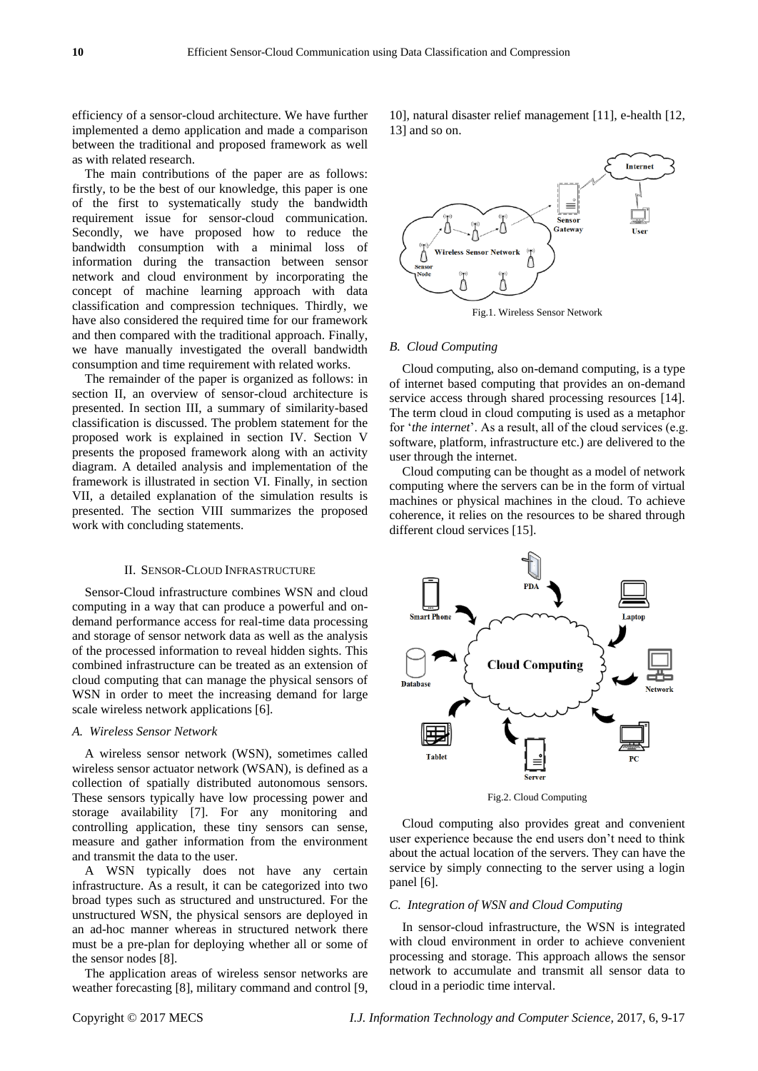efficiency of a sensor-cloud architecture. We have further implemented a demo application and made a comparison between the traditional and proposed framework as well as with related research.

The main contributions of the paper are as follows: firstly, to be the best of our knowledge, this paper is one of the first to systematically study the bandwidth requirement issue for sensor-cloud communication. Secondly, we have proposed how to reduce the bandwidth consumption with a minimal loss of information during the transaction between sensor network and cloud environment by incorporating the concept of machine learning approach with data classification and compression techniques. Thirdly, we have also considered the required time for our framework and then compared with the traditional approach. Finally, we have manually investigated the overall bandwidth consumption and time requirement with related works.

The remainder of the paper is organized as follows: in section II, an overview of sensor-cloud architecture is presented. In section III, a summary of similarity-based classification is discussed. The problem statement for the proposed work is explained in section IV. Section V presents the proposed framework along with an activity diagram. A detailed analysis and implementation of the framework is illustrated in section VI. Finally, in section VII, a detailed explanation of the simulation results is presented. The section VIII summarizes the proposed work with concluding statements.

#### II. SENSOR-CLOUD INFRASTRUCTURE

Sensor-Cloud infrastructure combines WSN and cloud computing in a way that can produce a powerful and ondemand performance access for real-time data processing and storage of sensor network data as well as the analysis of the processed information to reveal hidden sights. This combined infrastructure can be treated as an extension of cloud computing that can manage the physical sensors of WSN in order to meet the increasing demand for large scale wireless network applications [6].

#### *A. Wireless Sensor Network*

A wireless sensor network (WSN), sometimes called wireless sensor actuator network (WSAN), is defined as a collection of spatially distributed autonomous sensors. These sensors typically have low processing power and storage availability [7]. For any monitoring and controlling application, these tiny sensors can sense, measure and gather information from the environment and transmit the data to the user.

A WSN typically does not have any certain infrastructure. As a result, it can be categorized into two broad types such as structured and unstructured. For the unstructured WSN, the physical sensors are deployed in an ad-hoc manner whereas in structured network there must be a pre-plan for deploying whether all or some of the sensor nodes [8].

The application areas of wireless sensor networks are weather forecasting [8], military command and control [9, 10], natural disaster relief management [11], e-health [12, 13] and so on.



#### Fig.1. Wireless Sensor Network

#### *B. Cloud Computing*

Cloud computing, also on-demand computing, is a type of internet based computing that provides an on-demand service access through shared processing resources [14]. The term cloud in cloud computing is used as a metaphor for *'the internet'*. As a result, all of the cloud services (e.g. software, platform, infrastructure etc.) are delivered to the user through the internet.

Cloud computing can be thought as a model of network computing where the servers can be in the form of virtual machines or physical machines in the cloud. To achieve coherence, it relies on the resources to be shared through different cloud services [15].



Fig.2. Cloud Computing

Cloud computing also provides great and convenient user experience because the end users don"t need to think about the actual location of the servers. They can have the service by simply connecting to the server using a login panel [6].

## *C. Integration of WSN and Cloud Computing*

In sensor-cloud infrastructure, the WSN is integrated with cloud environment in order to achieve convenient processing and storage. This approach allows the sensor network to accumulate and transmit all sensor data to cloud in a periodic time interval.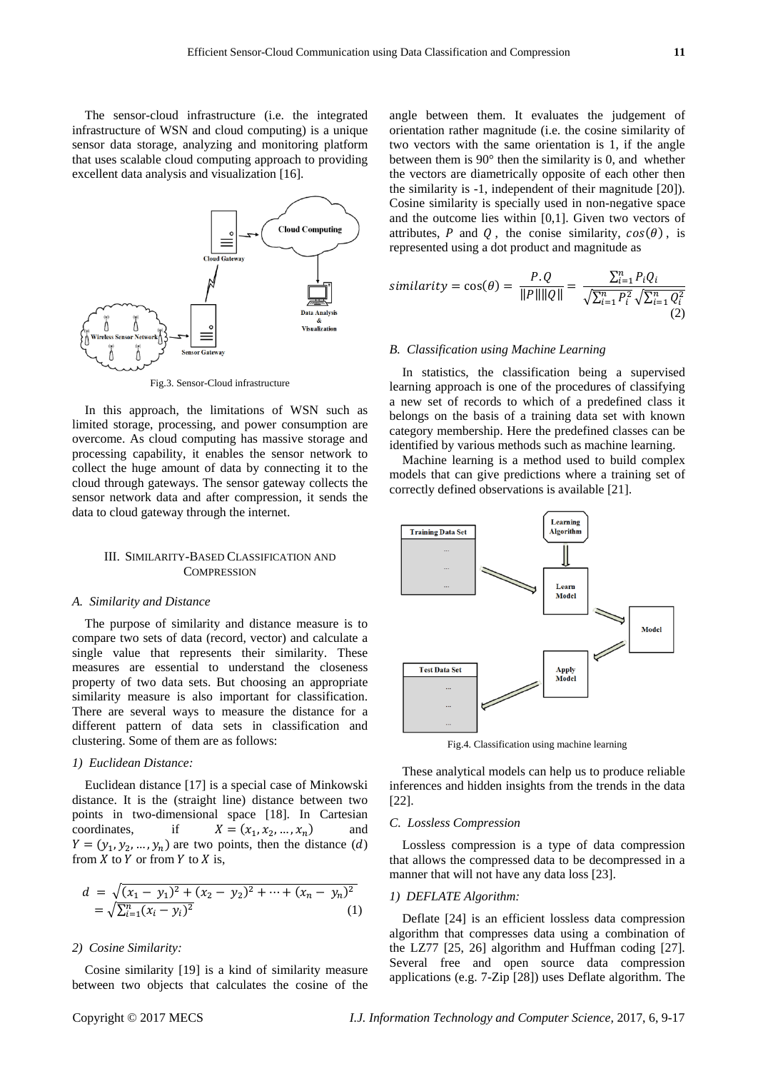The sensor-cloud infrastructure (i.e. the integrated infrastructure of WSN and cloud computing) is a unique sensor data storage, analyzing and monitoring platform that uses scalable cloud computing approach to providing excellent data analysis and visualization [16].



Fig.3. Sensor-Cloud infrastructure

In this approach, the limitations of WSN such as limited storage, processing, and power consumption are overcome. As cloud computing has massive storage and processing capability, it enables the sensor network to collect the huge amount of data by connecting it to the cloud through gateways. The sensor gateway collects the sensor network data and after compression, it sends the data to cloud gateway through the internet.

# III. SIMILARITY-BASED CLASSIFICATION AND **COMPRESSION**

#### *A. Similarity and Distance*

The purpose of similarity and distance measure is to compare two sets of data (record, vector) and calculate a single value that represents their similarity. These measures are essential to understand the closeness property of two data sets. But choosing an appropriate similarity measure is also important for classification. There are several ways to measure the distance for a different pattern of data sets in classification and clustering. Some of them are as follows:

## *1) Euclidean Distance:*

Euclidean distance [17] is a special case of Minkowski distance. It is the (straight line) distance between two points in two-dimensional space [18]. In Cartesian coordinates, if  $,x_2$ ) and  $Y = (y_1, y_2, ..., y_n)$  are two points, then the distance  $(d)$ from  $X$  to  $Y$  or from  $Y$  to  $X$  is,

$$
d = \sqrt{(x_1 - y_1)^2 + (x_2 - y_2)^2 + \dots + (x_n - y_n)^2}
$$
  
=  $\sqrt{\sum_{i=1}^n (x_i - y_i)^2}$  (1)

#### *2) Cosine Similarity:*

Cosine similarity [19] is a kind of similarity measure between two objects that calculates the cosine of the angle between them. It evaluates the judgement of orientation rather magnitude (i.e. the cosine similarity of two vectors with the same orientation is 1, if the angle between them is 90° then the similarity is 0, and whether the vectors are diametrically opposite of each other then the similarity is -1, independent of their magnitude [20]). Cosine similarity is specially used in non-negative space and the outcome lies within [0,1]. Given two vectors of attributes, P and Q, the conise similarity,  $cos(\theta)$ , is represented using a dot product and magnitude as

$$
similarity = \cos(\theta) = \frac{P \cdot Q}{\|P\| \|Q\|} = \frac{\sum_{i=1}^{n} P_i Q_i}{\sqrt{\sum_{i=1}^{n} P_i^2} \sqrt{\sum_{i=1}^{n} Q_i^2}}
$$
\n(2)

# *B. Classification using Machine Learning*

In statistics, the classification being a supervised learning approach is one of the procedures of classifying a new set of records to which of a predefined class it belongs on the basis of a training data set with known category membership. Here the predefined classes can be identified by various methods such as machine learning.

Machine learning is a method used to build complex models that can give predictions where a training set of correctly defined observations is available [21].



Fig.4. Classification using machine learning

These analytical models can help us to produce reliable inferences and hidden insights from the trends in the data [22].

## *C. Lossless Compression*

Lossless compression is a type of data compression that allows the compressed data to be decompressed in a manner that will not have any data loss [23].

# *1) DEFLATE Algorithm:*

Deflate [24] is an efficient lossless data compression algorithm that compresses data using a combination of the LZ77 [25, 26] algorithm and Huffman coding [27]. Several free and open source data compression applications (e.g. 7-Zip [28]) uses Deflate algorithm. The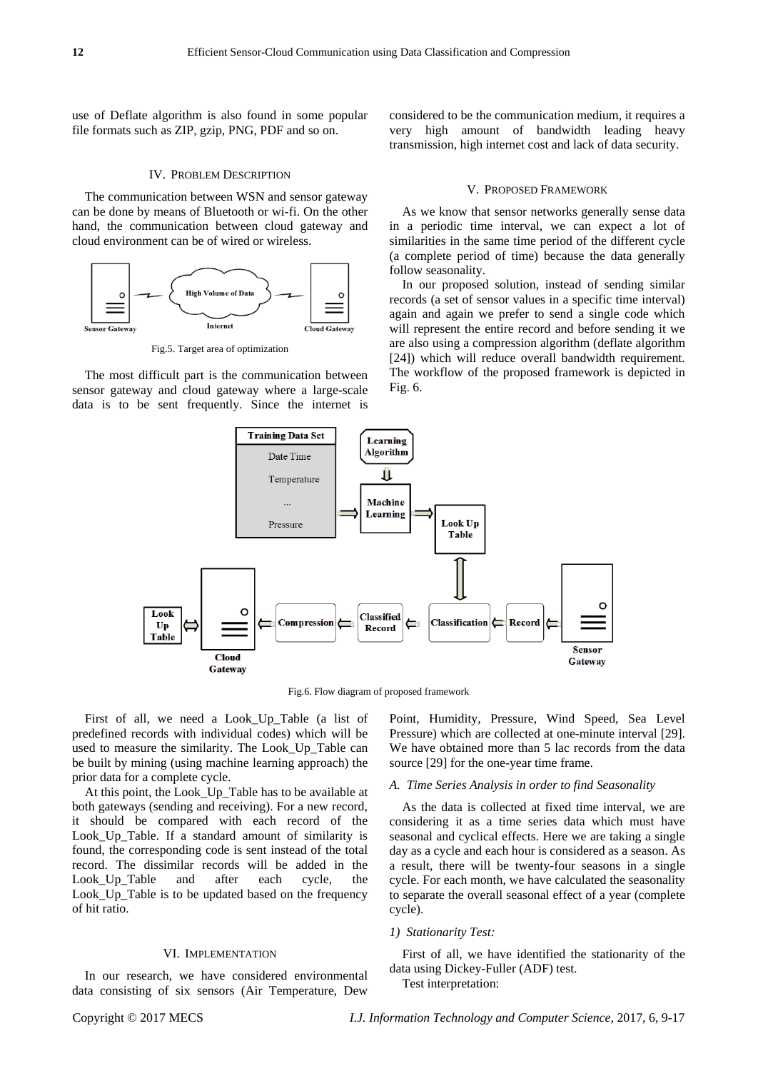use of Deflate algorithm is also found in some popular file formats such as ZIP, gzip, PNG, PDF and so on.

## IV. PROBLEM DESCRIPTION

The communication between WSN and sensor gateway can be done by means of Bluetooth or wi-fi. On the other hand, the communication between cloud gateway and cloud environment can be of wired or wireless.



Fig.5. Target area of optimization

The most difficult part is the communication between sensor gateway and cloud gateway where a large-scale data is to be sent frequently. Since the internet is considered to be the communication medium, it requires a very high amount of bandwidth leading heavy transmission, high internet cost and lack of data security.

#### V. PROPOSED FRAMEWORK

As we know that sensor networks generally sense data in a periodic time interval, we can expect a lot of similarities in the same time period of the different cycle (a complete period of time) because the data generally follow seasonality.

In our proposed solution, instead of sending similar records (a set of sensor values in a specific time interval) again and again we prefer to send a single code which will represent the entire record and before sending it we are also using a compression algorithm (deflate algorithm [24]) which will reduce overall bandwidth requirement. The workflow of the proposed framework is depicted in Fig. 6.



Fig.6. Flow diagram of proposed framework

First of all, we need a Look\_Up\_Table (a list of predefined records with individual codes) which will be used to measure the similarity. The Look\_Up\_Table can be built by mining (using machine learning approach) the prior data for a complete cycle.

At this point, the Look\_Up\_Table has to be available at both gateways (sending and receiving). For a new record, it should be compared with each record of the Look Up Table. If a standard amount of similarity is found, the corresponding code is sent instead of the total record. The dissimilar records will be added in the Look\_Up\_Table and after each cycle, the Look\_Up\_Table is to be updated based on the frequency of hit ratio.

## VI. IMPLEMENTATION

In our research, we have considered environmental data consisting of six sensors (Air Temperature, Dew Point, Humidity, Pressure, Wind Speed, Sea Level Pressure) which are collected at one-minute interval [29]. We have obtained more than 5 lac records from the data source [29] for the one-year time frame.

## *A. Time Series Analysis in order to find Seasonality*

As the data is collected at fixed time interval, we are considering it as a time series data which must have seasonal and cyclical effects. Here we are taking a single day as a cycle and each hour is considered as a season. As a result, there will be twenty-four seasons in a single cycle. For each month, we have calculated the seasonality to separate the overall seasonal effect of a year (complete cycle).

#### *1) Stationarity Test:*

First of all, we have identified the stationarity of the data using Dickey-Fuller (ADF) test.

Test interpretation: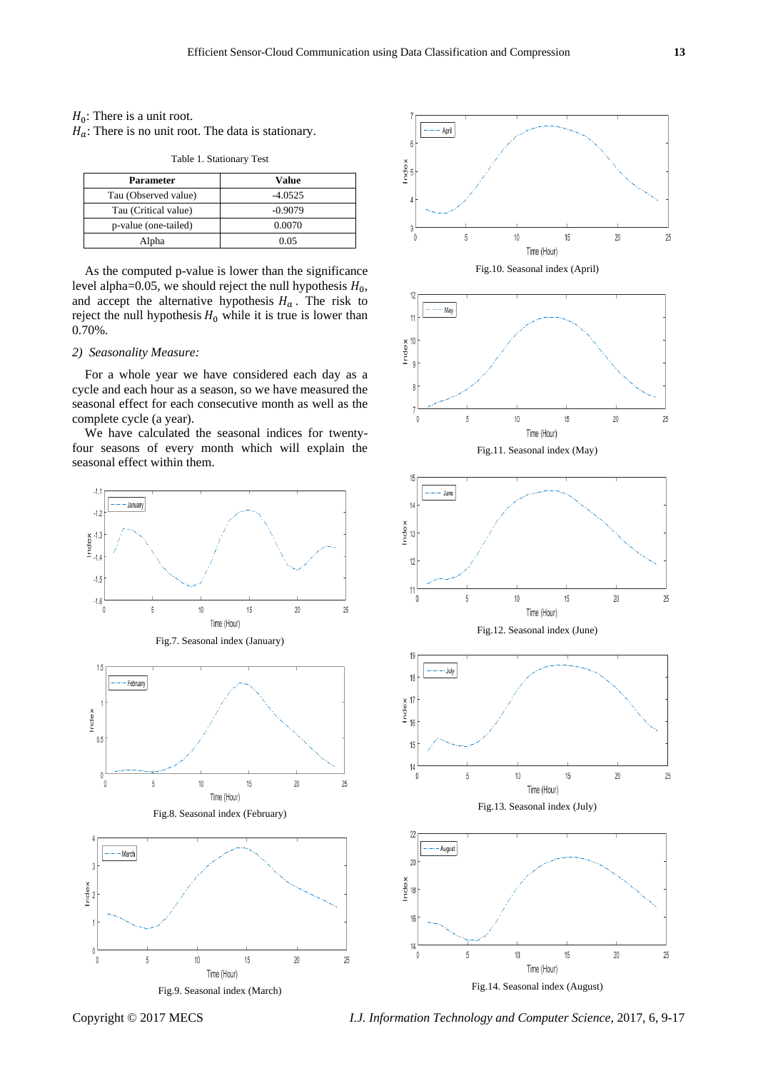#### $H_0$ : There is a unit root.

 $H_a$ : There is no unit root. The data is stationary.

| <b>Parameter</b>     | Value     |
|----------------------|-----------|
| Tau (Observed value) | $-4.0525$ |
| Tau (Critical value) | $-0.9079$ |
| p-value (one-tailed) | 0.0070    |
| Alpha                | 0.05      |

Table 1. Stationary Test

As the computed p-value is lower than the significance level alpha= $0.05$ , we should reject the null hypothesis  $H_0$ , and accept the alternative hypothesis  $H_a$ . The risk to reject the null hypothesis  $H_0$  while it is true is lower than 0.70%.

#### *2) Seasonality Measure:*

For a whole year we have considered each day as a cycle and each hour as a season, so we have measured the seasonal effect for each consecutive month as well as the complete cycle (a year).

We have calculated the seasonal indices for twentyfour seasons of every month which will explain the seasonal effect within them.





Copyright © 2017 MECS *I.J. Information Technology and Computer Science,* 2017, 6, 9-17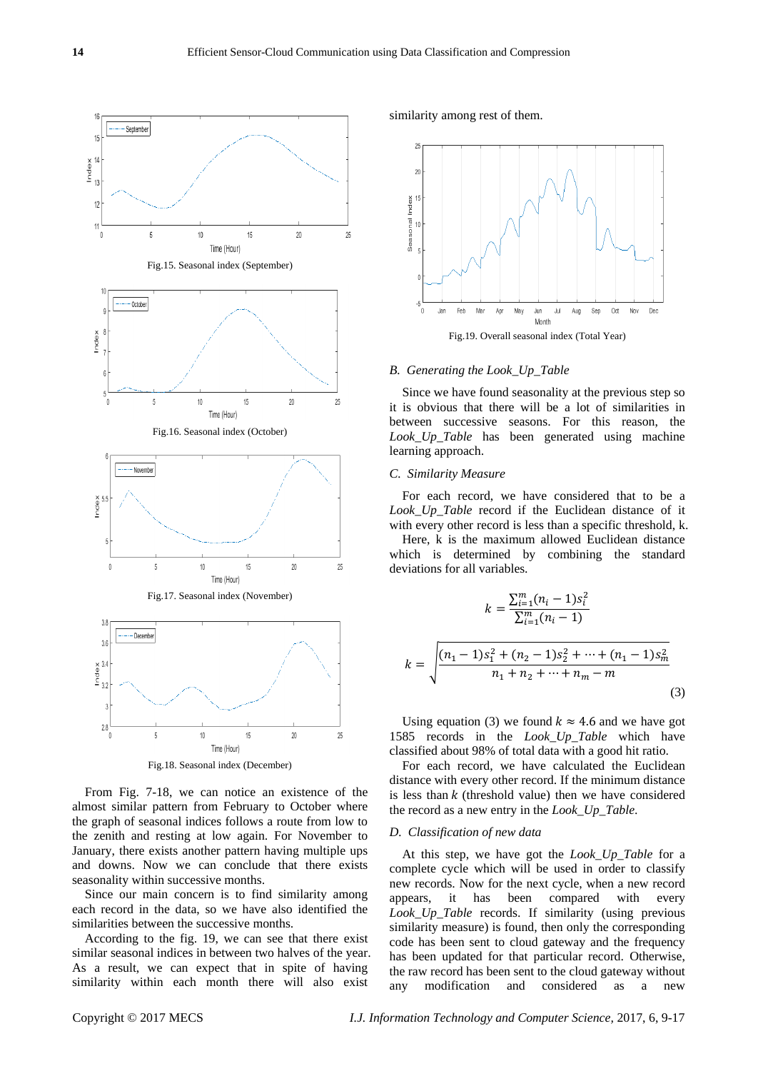

From Fig. 7-18, we can notice an existence of the almost similar pattern from February to October where the graph of seasonal indices follows a route from low to the zenith and resting at low again. For November to January, there exists another pattern having multiple ups and downs. Now we can conclude that there exists seasonality within successive months.

Since our main concern is to find similarity among each record in the data, so we have also identified the similarities between the successive months.

According to the fig. 19, we can see that there exist similar seasonal indices in between two halves of the year. As a result, we can expect that in spite of having similarity within each month there will also exist

similarity among rest of them.



#### *B. Generating the Look\_Up\_Table*

Since we have found seasonality at the previous step so it is obvious that there will be a lot of similarities in between successive seasons. For this reason, the *Look\_Up\_Table* has been generated using machine learning approach.

#### *C. Similarity Measure*

For each record, we have considered that to be a *Look\_Up\_Table* record if the Euclidean distance of it with every other record is less than a specific threshold, k.

Here, k is the maximum allowed Euclidean distance which is determined by combining the standard deviations for all variables.

$$
k = \frac{\sum_{i=1}^{m} (n_i - 1)s_i^2}{\sum_{i=1}^{m} (n_i - 1)}
$$

$$
k = \sqrt{\frac{(n_1 - 1)s_1^2 + (n_2 - 1)s_2^2 + \dots + (n_1 - 1)s_m^2}{n_1 + n_2 + \dots + n_m - m}}
$$
\n(3)

Using equation (3) we found  $k \approx 4.6$  and we have got 1585 records in the *Look\_Up\_Table* which have classified about 98% of total data with a good hit ratio.

For each record, we have calculated the Euclidean distance with every other record. If the minimum distance is less than  $k$  (threshold value) then we have considered the record as a new entry in the *Look\_Up\_Table*.

## *D. Classification of new data*

At this step, we have got the *Look\_Up\_Table* for a complete cycle which will be used in order to classify new records. Now for the next cycle, when a new record appears, it has been compared with every *Look\_Up\_Table* records. If similarity (using previous similarity measure) is found, then only the corresponding code has been sent to cloud gateway and the frequency has been updated for that particular record. Otherwise, the raw record has been sent to the cloud gateway without any modification and considered as a new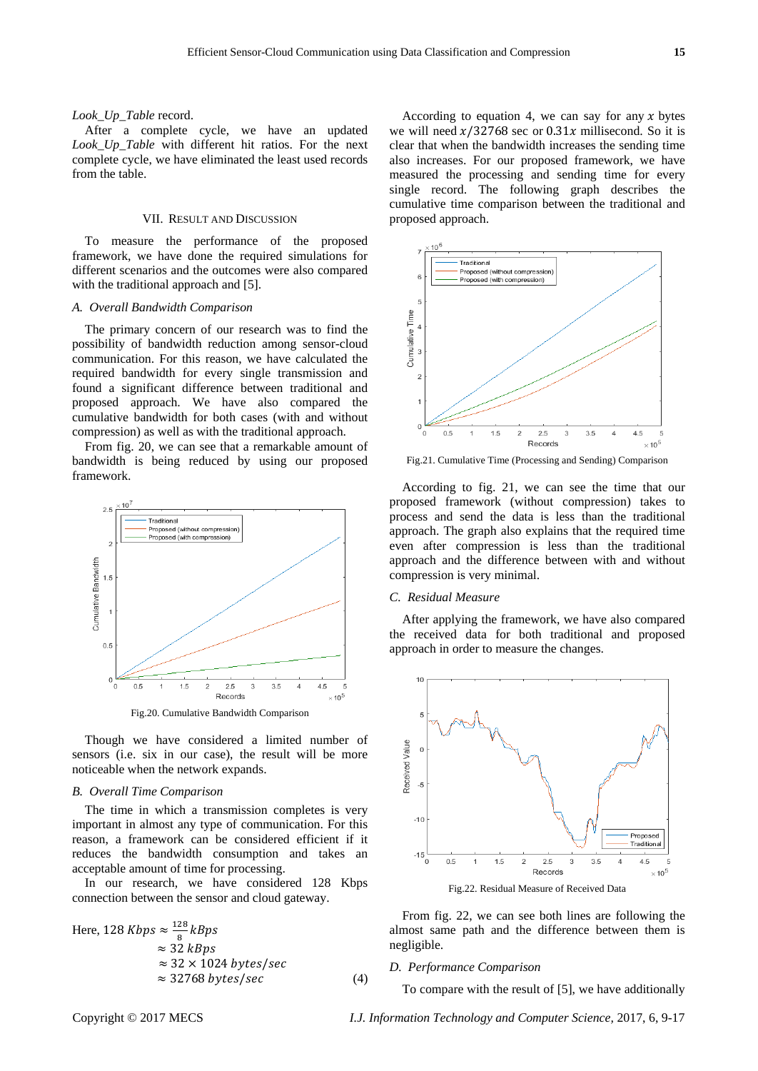#### *Look\_Up\_Table* record.

After a complete cycle, we have an updated *Look\_Up\_Table* with different hit ratios. For the next complete cycle, we have eliminated the least used records from the table.

# VII. RESULT AND DISCUSSION

To measure the performance of the proposed framework, we have done the required simulations for different scenarios and the outcomes were also compared with the traditional approach and [5].

#### *A. Overall Bandwidth Comparison*

The primary concern of our research was to find the possibility of bandwidth reduction among sensor-cloud communication. For this reason, we have calculated the required bandwidth for every single transmission and found a significant difference between traditional and proposed approach. We have also compared the cumulative bandwidth for both cases (with and without compression) as well as with the traditional approach.

From fig. 20, we can see that a remarkable amount of bandwidth is being reduced by using our proposed framework.



Though we have considered a limited number of sensors (i.e. six in our case), the result will be more noticeable when the network expands.

## *B. Overall Time Comparison*

The time in which a transmission completes is very important in almost any type of communication. For this reason, a framework can be considered efficient if it reduces the bandwidth consumption and takes an acceptable amount of time for processing.

In our research, we have considered 128 Kbps connection between the sensor and cloud gateway.

Here, 128 Kbps 
$$
\approx \frac{128}{8} \text{kBps}
$$
  
\n $\approx 32 \text{ kBps}$   
\n $\approx 32 \times 1024 \text{ bytes/sec}$   
\n $\approx 32768 \text{ bytes/sec}$  (4)

According to equation 4, we can say for any  $x$  bytes we will need  $x/32768$  sec or 0.31x millisecond. So it is clear that when the bandwidth increases the sending time also increases. For our proposed framework, we have measured the processing and sending time for every single record. The following graph describes the cumulative time comparison between the traditional and proposed approach.



Fig.21. Cumulative Time (Processing and Sending) Comparison

According to fig. 21, we can see the time that our proposed framework (without compression) takes to process and send the data is less than the traditional approach. The graph also explains that the required time even after compression is less than the traditional approach and the difference between with and without compression is very minimal.

#### *C. Residual Measure*

After applying the framework, we have also compared the received data for both traditional and proposed approach in order to measure the changes.



Fig.22. Residual Measure of Received Data

From fig. 22, we can see both lines are following the almost same path and the difference between them is negligible.

## *D. Performance Comparison*

To compare with the result of [5], we have additionally

Copyright © 2017 MECS *I.J. Information Technology and Computer Science,* 2017, 6, 9-17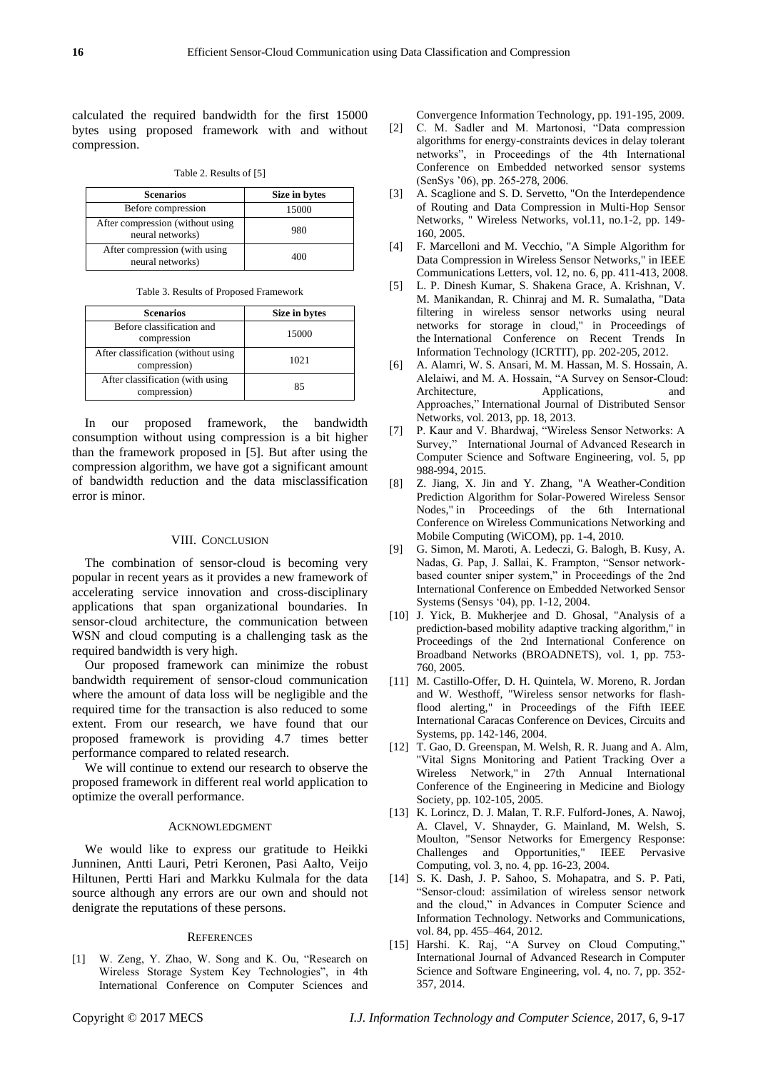calculated the required bandwidth for the first 15000 bytes using proposed framework with and without compression.

Table 2. Results of [5]

| <b>Scenarios</b>                                     | Size in bytes |
|------------------------------------------------------|---------------|
| Before compression                                   | 15000         |
| After compression (without using<br>neural networks) | 980           |
| After compression (with using<br>neural networks)    | 400           |

Table 3. Results of Proposed Framework

| <b>Scenarios</b>                                    | Size in bytes |
|-----------------------------------------------------|---------------|
| Before classification and<br>compression            | 15000         |
| After classification (without using<br>compression) | 1021          |
| After classification (with using<br>compression)    | 85            |

In our proposed framework, the bandwidth consumption without using compression is a bit higher than the framework proposed in [5]. But after using the compression algorithm, we have got a significant amount of bandwidth reduction and the data misclassification error is minor.

# VIII. CONCLUSION

The combination of sensor-cloud is becoming very popular in recent years as it provides a new framework of accelerating service innovation and cross-disciplinary applications that span organizational boundaries. In sensor-cloud architecture, the communication between WSN and cloud computing is a challenging task as the required bandwidth is very high.

Our proposed framework can minimize the robust bandwidth requirement of sensor-cloud communication where the amount of data loss will be negligible and the required time for the transaction is also reduced to some extent. From our research, we have found that our proposed framework is providing 4.7 times better performance compared to related research.

We will continue to extend our research to observe the proposed framework in different real world application to optimize the overall performance.

#### ACKNOWLEDGMENT

We would like to express our gratitude to Heikki Junninen, Antti Lauri, Petri Keronen, Pasi Aalto, Veijo Hiltunen, Pertti Hari and Markku Kulmala for the data source although any errors are our own and should not denigrate the reputations of these persons.

#### **REFERENCES**

[1] W. Zeng, Y. Zhao, W. Song and K. Ou, "Research on Wireless Storage System Key Technologies", in 4th International Conference on Computer Sciences and Convergence Information Technology, pp. 191-195, 2009.

- [2] C. M. Sadler and M. Martonosi, "Data compression algorithms for energy-constraints devices in delay tolerant networks", in Proceedings of the 4th International Conference on Embedded networked sensor systems (SenSys "06), pp. 265-278, 2006.
- [3] A. Scaglione and S. D. Servetto, "On the Interdependence" of Routing and Data Compression in Multi-Hop Sensor Networks, " Wireless Networks, vol.11, no.1-2, pp. 149- 160, 2005.
- [4] F. Marcelloni and M. Vecchio, "A Simple Algorithm for Data Compression in Wireless Sensor Networks," in IEEE Communications Letters, vol. 12, no. 6, pp. 411-413, 2008.
- [5] L. P. Dinesh Kumar, S. Shakena Grace, A. Krishnan, V. M. Manikandan, R. Chinraj and M. R. Sumalatha, "Data filtering in wireless sensor networks using neural networks for storage in cloud," in Proceedings of the International Conference on Recent Trends In Information Technology (ICRTIT), pp. 202-205, 2012.
- [6] A. Alamri, W. S. Ansari, M. M. Hassan, M. S. Hossain, A. Alelaiwi, and M. A. Hossain, "A Survey on Sensor-Cloud: Architecture, Applications, and Approaches," International Journal of Distributed Sensor Networks, vol. 2013, pp. 18, 2013.
- [7] P. Kaur and V. Bhardwaj, "Wireless Sensor Networks: A Survey," International Journal of Advanced Research in Computer Science and Software Engineering, vol. 5, pp 988-994, 2015.
- [8] Z. Jiang, X. Jin and Y. Zhang, "A Weather-Condition Prediction Algorithm for Solar-Powered Wireless Sensor Nodes," in Proceedings of the 6th International Conference on Wireless Communications Networking and Mobile Computing (WiCOM), pp. 1-4, 2010.
- [9] G. Simon, M. Maroti, A. Ledeczi, G. Balogh, B. Kusy, A. Nadas, G. Pap, J. Sallai, K. Frampton, "Sensor networkbased counter sniper system," in Proceedings of the 2nd International Conference on Embedded Networked Sensor Systems (Sensys "04), pp. 1-12, 2004.
- [10] J. Yick, B. Mukherjee and D. Ghosal, "Analysis of a prediction-based mobility adaptive tracking algorithm," in Proceedings of the 2nd International Conference on Broadband Networks (BROADNETS), vol. 1, pp. 753- 760, 2005.
- [11] M. Castillo-Offer, D. H. Quintela, W. Moreno, R. Jordan and W. Westhoff, "Wireless sensor networks for flashflood alerting," in Proceedings of the Fifth IEEE International Caracas Conference on Devices, Circuits and Systems, pp. 142-146, 2004.
- [12] T. Gao, D. Greenspan, M. Welsh, R. R. Juang and A. Alm, "Vital Signs Monitoring and Patient Tracking Over a Wireless Network," in 27th Annual International Conference of the Engineering in Medicine and Biology Society, pp. 102-105, 2005.
- [13] K. Lorincz, D. J. Malan, T. R.F. Fulford-Jones, A. Nawoj, A. Clavel, V. Shnayder, G. Mainland, M. Welsh, S. Moulton, "Sensor Networks for Emergency Response: Challenges and Opportunities," IEEE Pervasive Computing, vol. 3, no. 4, pp. 16-23, 2004.
- [14] S. K. Dash, J. P. Sahoo, S. Mohapatra, and S. P. Pati, "Sensor-cloud: assimilation of wireless sensor network and the cloud," in Advances in Computer Science and Information Technology. Networks and Communications, vol. 84, pp. 455–464, 2012.
- [15] Harshi. K. Raj, "A Survey on Cloud Computing," International Journal of Advanced Research in Computer Science and Software Engineering, vol. 4, no. 7, pp. 352- 357, 2014.